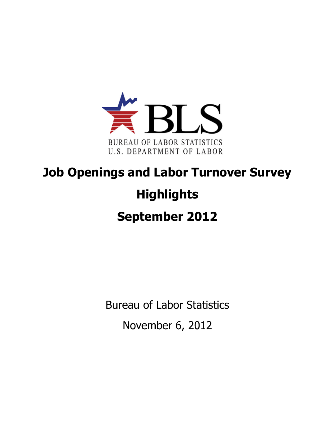

## **Job Openings and Labor Turnover Survey Highlights September 2012**

Bureau of Labor Statistics November 6, 2012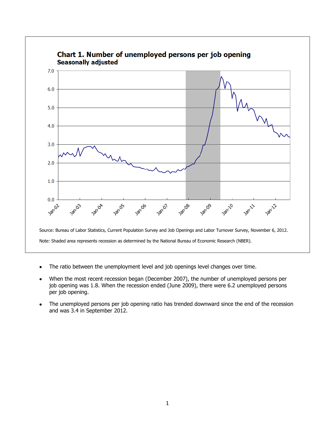

- The ratio between the unemployment level and job openings level changes over time.
- When the most recent recession began (December 2007), the number of unemployed persons per job opening was 1.8. When the recession ended (June 2009), there were 6.2 unemployed persons per job opening.
- The unemployed persons per job opening ratio has trended downward since the end of the recession and was 3.4 in September 2012.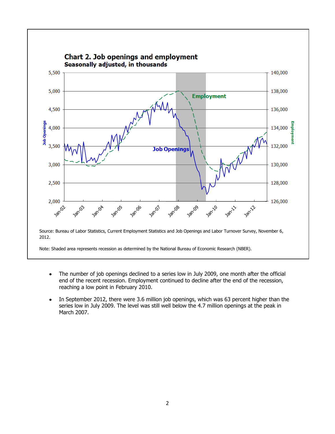

- The number of job openings declined to a series low in July 2009, one month after the official  $\bullet$ end of the recent recession. Employment continued to decline after the end of the recession, reaching a low point in February 2010.
- In September 2012, there were 3.6 million job openings, which was 63 percent higher than the series low in July 2009. The level was still well below the 4.7 million openings at the peak in March 2007.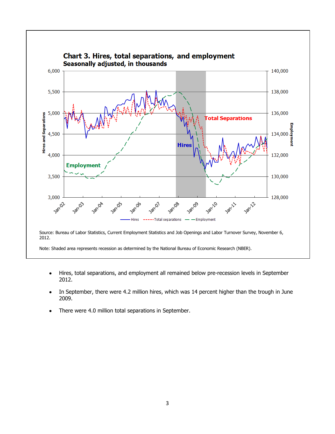

- Hires, total separations, and employment all remained below pre-recession levels in September 2012.
- In September, there were 4.2 million hires, which was 14 percent higher than the trough in June 2009.
- There were 4.0 million total separations in September.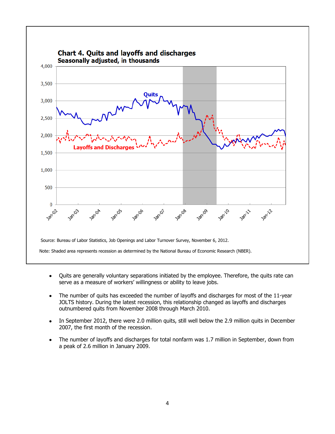

- Quits are generally voluntary separations initiated by the employee. Therefore, the quits rate can  $\bullet$ serve as a measure of workers' willingness or ability to leave jobs.
- The number of quits has exceeded the number of layoffs and discharges for most of the 11-year  $\bullet$ JOLTS history. During the latest recession, this relationship changed as layoffs and discharges outnumbered quits from November 2008 through March 2010.
- In September 2012, there were 2.0 million quits, still well below the 2.9 million quits in December  $\bullet$ 2007, the first month of the recession.
- The number of layoffs and discharges for total nonfarm was 1.7 million in September, down from  $\bullet$ a peak of 2.6 million in January 2009.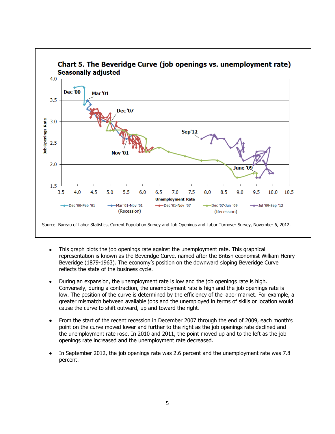

- This graph plots the job openings rate against the unemployment rate. This graphical  $\bullet$ representation is known as the Beveridge Curve, named after the British economist William Henry Beveridge (1879-1963). The economy's position on the downward sloping Beveridge Curve reflects the state of the business cycle.
- During an expansion, the unemployment rate is low and the job openings rate is high. Conversely, during a contraction, the unemployment rate is high and the job openings rate is low. The position of the curve is determined by the efficiency of the labor market. For example, a greater mismatch between available jobs and the unemployed in terms of skills or location would cause the curve to shift outward, up and toward the right.
- From the start of the recent recession in December 2007 through the end of 2009, each month's point on the curve moved lower and further to the right as the job openings rate declined and the unemployment rate rose. In 2010 and 2011, the point moved up and to the left as the job openings rate increased and the unemployment rate decreased.
- In September 2012, the job openings rate was 2.6 percent and the unemployment rate was 7.8 percent.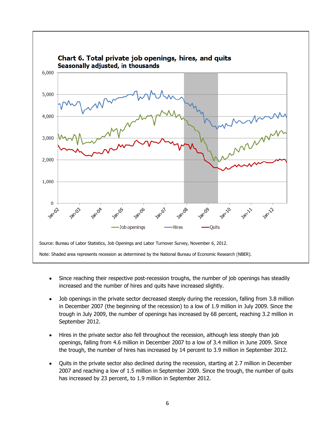

- Since reaching their respective post-recession troughs, the number of job openings has steadily  $\bullet$ increased and the number of hires and quits have increased slightly.
- Job openings in the private sector decreased steeply during the recession, falling from 3.8 million  $\bullet$ in December 2007 (the beginning of the recession) to a low of 1.9 million in July 2009. Since the trough in July 2009, the number of openings has increased by 68 percent, reaching 3.2 million in September 2012.
- Hires in the private sector also fell throughout the recession, although less steeply than job openings, falling from 4.6 million in December 2007 to a low of 3.4 million in June 2009. Since the trough, the number of hires has increased by 14 percent to 3.9 million in September 2012.
- Quits in the private sector also declined during the recession, starting at 2.7 million in December 2007 and reaching a low of 1.5 million in September 2009. Since the trough, the number of quits has increased by 23 percent, to 1.9 million in September 2012.